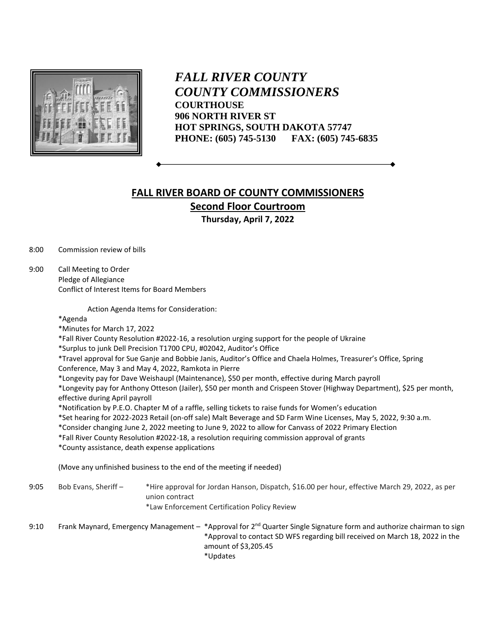

*FALL RIVER COUNTY COUNTY COMMISSIONERS* **COURTHOUSE 906 NORTH RIVER ST HOT SPRINGS, SOUTH DAKOTA 57747 PHONE: (605) 745-5130 FAX: (605) 745-6835**

## **FALL RIVER BOARD OF COUNTY COMMISSIONERS Second Floor Courtroom Thursday, April 7, 2022**

8:00 Commission review of bills

9:00 Call Meeting to Order Pledge of Allegiance Conflict of Interest Items for Board Members

Action Agenda Items for Consideration:

\*Agenda

\*Minutes for March 17, 2022

\*Fall River County Resolution #2022-16, a resolution urging support for the people of Ukraine

\*Surplus to junk Dell Precision T1700 CPU, #02042, Auditor's Office

\*Travel approval for Sue Ganje and Bobbie Janis, Auditor's Office and Chaela Holmes, Treasurer's Office, Spring Conference, May 3 and May 4, 2022, Ramkota in Pierre

\*Longevity pay for Dave Weishaupl (Maintenance), \$50 per month, effective during March payroll

\*Longevity pay for Anthony Otteson (Jailer), \$50 per month and Crispeen Stover (Highway Department), \$25 per month, effective during April payroll

\*Notification by P.E.O. Chapter M of a raffle, selling tickets to raise funds for Women's education

\*Set hearing for 2022-2023 Retail (on-off sale) Malt Beverage and SD Farm Wine Licenses, May 5, 2022, 9:30 a.m.

\*Consider changing June 2, 2022 meeting to June 9, 2022 to allow for Canvass of 2022 Primary Election

\*Fall River County Resolution #2022-18, a resolution requiring commission approval of grants

\*County assistance, death expense applications

(Move any unfinished business to the end of the meeting if needed)

9:05 Bob Evans, Sheriff – \*Hire approval for Jordan Hanson, Dispatch, \$16.00 per hour, effective March 29, 2022, as per union contract \*Law Enforcement Certification Policy Review

9:10 Frank Maynard, Emergency Management – \*Approval for 2<sup>nd</sup> Quarter Single Signature form and authorize chairman to sign \*Approval to contact SD WFS regarding bill received on March 18, 2022 in the amount of \$3,205.45 \*Updates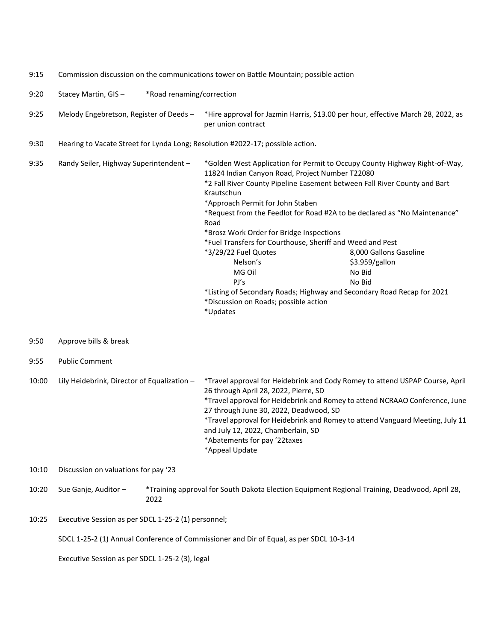| 9:15  | Commission discussion on the communications tower on Battle Mountain; possible action   |                                      |                                                                                                                                                                                                                                                                                                                                                                                                                                                                                                                                                                                                                                                                                                                 |  |  |
|-------|-----------------------------------------------------------------------------------------|--------------------------------------|-----------------------------------------------------------------------------------------------------------------------------------------------------------------------------------------------------------------------------------------------------------------------------------------------------------------------------------------------------------------------------------------------------------------------------------------------------------------------------------------------------------------------------------------------------------------------------------------------------------------------------------------------------------------------------------------------------------------|--|--|
| 9:20  | Stacey Martin, GIS-<br>*Road renaming/correction                                        |                                      |                                                                                                                                                                                                                                                                                                                                                                                                                                                                                                                                                                                                                                                                                                                 |  |  |
| 9:25  | Melody Engebretson, Register of Deeds -                                                 |                                      | *Hire approval for Jazmin Harris, \$13.00 per hour, effective March 28, 2022, as<br>per union contract                                                                                                                                                                                                                                                                                                                                                                                                                                                                                                                                                                                                          |  |  |
| 9:30  | Hearing to Vacate Street for Lynda Long; Resolution #2022-17; possible action.          |                                      |                                                                                                                                                                                                                                                                                                                                                                                                                                                                                                                                                                                                                                                                                                                 |  |  |
| 9:35  | Randy Seiler, Highway Superintendent -                                                  |                                      | *Golden West Application for Permit to Occupy County Highway Right-of-Way,<br>11824 Indian Canyon Road, Project Number T22080<br>*2 Fall River County Pipeline Easement between Fall River County and Bart<br>Krautschun<br>*Approach Permit for John Staben<br>*Request from the Feedlot for Road #2A to be declared as "No Maintenance"<br>Road<br>*Brosz Work Order for Bridge Inspections<br>*Fuel Transfers for Courthouse, Sheriff and Weed and Pest<br>*3/29/22 Fuel Quotes<br>8,000 Gallons Gasoline<br>Nelson's<br>\$3.959/gallon<br>MG Oil<br>No Bid<br>PJ's<br>No Bid<br>*Listing of Secondary Roads; Highway and Secondary Road Recap for 2021<br>*Discussion on Roads; possible action<br>*Updates |  |  |
| 9:50  | Approve bills & break                                                                   |                                      |                                                                                                                                                                                                                                                                                                                                                                                                                                                                                                                                                                                                                                                                                                                 |  |  |
| 9:55  | <b>Public Comment</b>                                                                   |                                      |                                                                                                                                                                                                                                                                                                                                                                                                                                                                                                                                                                                                                                                                                                                 |  |  |
| 10:00 | Lily Heidebrink, Director of Equalization -                                             |                                      | *Travel approval for Heidebrink and Cody Romey to attend USPAP Course, April<br>26 through April 28, 2022, Pierre, SD<br>*Travel approval for Heidebrink and Romey to attend NCRAAO Conference, June<br>27 through June 30, 2022, Deadwood, SD<br>*Travel approval for Heidebrink and Romey to attend Vanguard Meeting, July 11<br>and July 12, 2022, Chamberlain, SD<br>*Abatements for pay '22taxes<br>*Appeal Update                                                                                                                                                                                                                                                                                         |  |  |
| 10:10 |                                                                                         | Discussion on valuations for pay '23 |                                                                                                                                                                                                                                                                                                                                                                                                                                                                                                                                                                                                                                                                                                                 |  |  |
| 10:20 | Sue Ganje, Auditor -                                                                    | 2022                                 | *Training approval for South Dakota Election Equipment Regional Training, Deadwood, April 28,                                                                                                                                                                                                                                                                                                                                                                                                                                                                                                                                                                                                                   |  |  |
| 10:25 | Executive Session as per SDCL 1-25-2 (1) personnel;                                     |                                      |                                                                                                                                                                                                                                                                                                                                                                                                                                                                                                                                                                                                                                                                                                                 |  |  |
|       | SDCL 1-25-2 (1) Annual Conference of Commissioner and Dir of Equal, as per SDCL 10-3-14 |                                      |                                                                                                                                                                                                                                                                                                                                                                                                                                                                                                                                                                                                                                                                                                                 |  |  |
|       | Executive Session as per SDCL 1-25-2 (3), legal                                         |                                      |                                                                                                                                                                                                                                                                                                                                                                                                                                                                                                                                                                                                                                                                                                                 |  |  |